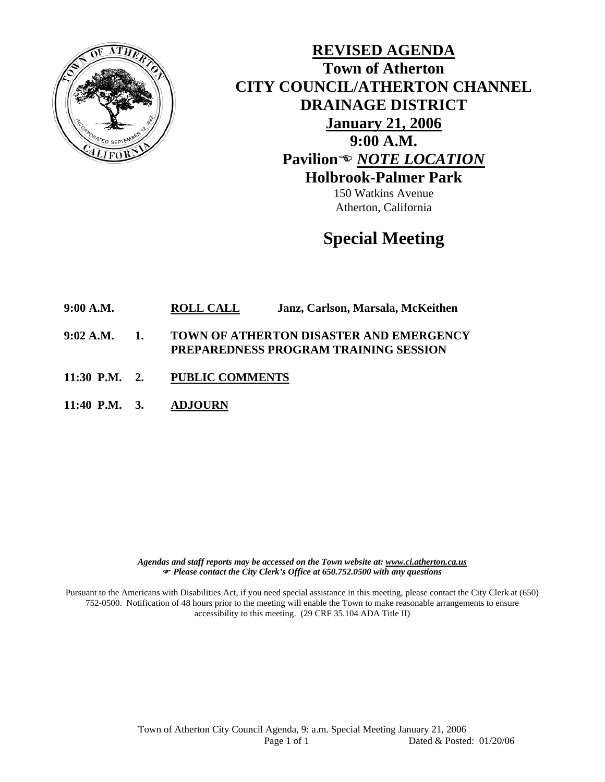

**REVISED AGENDA Town of Atherton CITY COUNCIL/ATHERTON CHANNEL DRAINAGE DISTRICT January 21, 2006 9:00 A.M. Pavilion**( *NOTE LOCATION* **Holbrook-Palmer Park** 

> 150 Watkins Avenue Atherton, California

## **Special Meeting**

**9:00 A.M. ROLL CALL Janz, Carlson, Marsala, McKeithen** 

- **9:02 A.M. 1. TOWN OF ATHERTON DISASTER AND EMERGENCY PREPAREDNESS PROGRAM TRAINING SESSION**
- **11:30 P.M. 2. PUBLIC COMMENTS**
- **11:40 P.M. 3. ADJOURN**

*Agendas and staff reports may be accessed on the Town website at: www.ci.atherton.ca.us* ) *Please contact the City Clerk's Office at 650.752.0500 with any questions* 

Pursuant to the Americans with Disabilities Act, if you need special assistance in this meeting, please contact the City Clerk at (650) 752-0500. Notification of 48 hours prior to the meeting will enable the Town to make reasonable arrangements to ensure accessibility to this meeting. (29 CRF 35.104 ADA Title II)